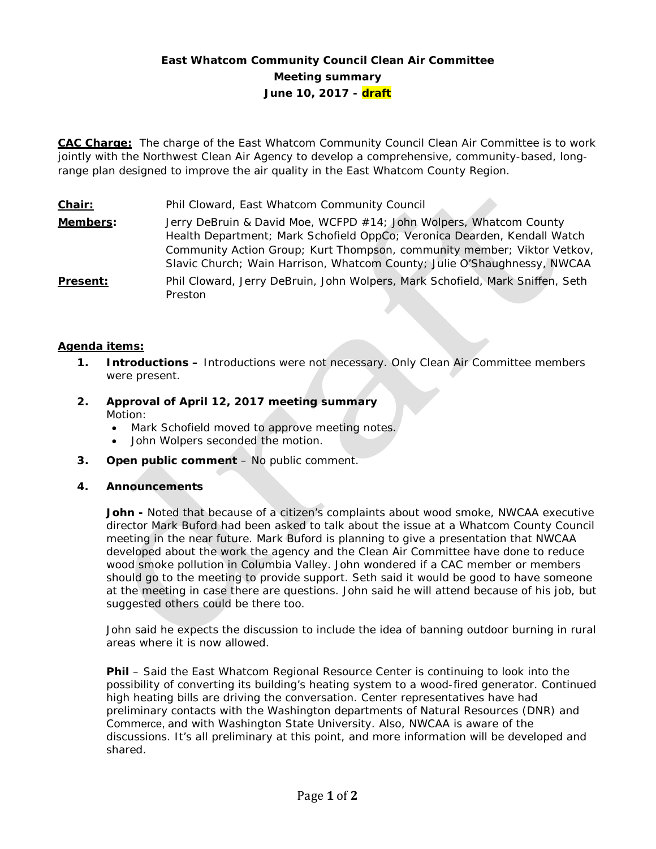# **East Whatcom Community Council Clean Air Committee Meeting summary June 10, 2017 - draft**

**CAC Charge:** The charge of the East Whatcom Community Council Clean Air Committee is to work jointly with the Northwest Clean Air Agency to develop a comprehensive, community-based, longrange plan designed to improve the air quality in the East Whatcom County Region.

**Chair:** Phil Cloward, East Whatcom Community Council **Members:** Jerry DeBruin & David Moe, WCFPD #14; John Wolpers, Whatcom County Health Department; Mark Schofield OppCo; Veronica Dearden, Kendall Watch Community Action Group; Kurt Thompson, community member; Viktor Vetkov, Slavic Church; Wain Harrison, Whatcom County; Julie O'Shaughnessy, NWCAA **Present:** Phil Cloward, Jerry DeBruin, John Wolpers, Mark Schofield, Mark Sniffen, Seth Preston

# **Agenda items:**

- **1. Introductions –** Introductions were not necessary. Only Clean Air Committee members were present.
- **2. Approval of April 12, 2017 meeting summary** Motion:
	- Mark Schofield moved to approve meeting notes.
	- John Wolpers seconded the motion.
- **3. Open public comment**  No public comment.

### **4. Announcements**

**John -** Noted that because of a citizen's complaints about wood smoke, NWCAA executive director Mark Buford had been asked to talk about the issue at a Whatcom County Council meeting in the near future. Mark Buford is planning to give a presentation that NWCAA developed about the work the agency and the Clean Air Committee have done to reduce wood smoke pollution in Columbia Valley. John wondered if a CAC member or members should go to the meeting to provide support. Seth said it would be good to have someone at the meeting in case there are questions. John said he will attend because of his job, but suggested others could be there too.

John said he expects the discussion to include the idea of banning outdoor burning in rural areas where it is now allowed.

**Phil** – Said the East Whatcom Regional Resource Center is continuing to look into the possibility of converting its building's heating system to a wood-fired generator. Continued high heating bills are driving the conversation. Center representatives have had preliminary contacts with the Washington departments of Natural Resources (DNR) and Commerce, and with Washington State University. Also, NWCAA is aware of the discussions. It's all preliminary at this point, and more information will be developed and shared.